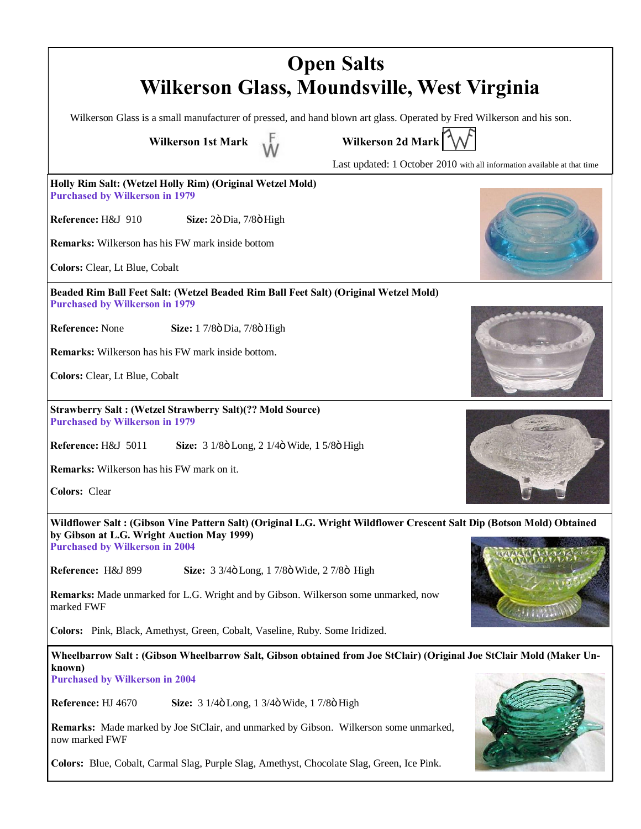| <b>Open Salts</b><br>Wilkerson Glass, Moundsville, West Virginia                                                              |                                                                                                                       |
|-------------------------------------------------------------------------------------------------------------------------------|-----------------------------------------------------------------------------------------------------------------------|
|                                                                                                                               | Wilkerson Glass is a small manufacturer of pressed, and hand blown art glass. Operated by Fred Wilkerson and his son. |
| <b>Wilkerson 1st Mark</b>                                                                                                     | Wilkerson 2d Mark                                                                                                     |
|                                                                                                                               | Last updated: 1 October 2010 with all information available at that time                                              |
| Holly Rim Salt: (Wetzel Holly Rim) (Original Wetzel Mold)<br><b>Purchased by Wilkerson in 1979</b>                            |                                                                                                                       |
| Reference: H&J 910<br>Size: 2ö Dia, 7/8ö High                                                                                 |                                                                                                                       |
| <b>Remarks:</b> Wilkerson has his FW mark inside bottom                                                                       |                                                                                                                       |
| Colors: Clear, Lt Blue, Cobalt                                                                                                |                                                                                                                       |
| Beaded Rim Ball Feet Salt: (Wetzel Beaded Rim Ball Feet Salt) (Original Wetzel Mold)<br><b>Purchased by Wilkerson in 1979</b> |                                                                                                                       |
| Reference: None<br>Size: 1 7/8ö Dia, 7/8ö High                                                                                |                                                                                                                       |
| <b>Remarks:</b> Wilkerson has his FW mark inside bottom.                                                                      |                                                                                                                       |
| Colors: Clear, Lt Blue, Cobalt                                                                                                |                                                                                                                       |
| <b>Strawberry Salt: (Wetzel Strawberry Salt)(?? Mold Source)</b><br><b>Purchased by Wilkerson in 1979</b>                     |                                                                                                                       |
| Reference: H&J 5011<br>Size: 3 1/8ö Long, 2 1/4ö Wide, 1 5/8ö High                                                            |                                                                                                                       |
| <b>Remarks:</b> Wilkerson has his FW mark on it.                                                                              |                                                                                                                       |
| <b>Colors: Clear</b>                                                                                                          |                                                                                                                       |
| by Gibson at L.G. Wright Auction May 1999)                                                                                    | Wildflower Salt: (Gibson Vine Pattern Salt) (Original L.G. Wright Wildflower Crescent Salt Dip (Botson Mold) Obtained |
| <b>Purchased by Wilkerson in 2004</b>                                                                                         |                                                                                                                       |
| Reference: H&J 899<br>Size: 3 3/4ö Long, 1 7/8ö Wide, 2 7/8ö High                                                             |                                                                                                                       |
| <b>Remarks:</b> Made unmarked for L.G. Wright and by Gibson. Wilkerson some unmarked, now<br>marked FWF                       |                                                                                                                       |
| Colors: Pink, Black, Amethyst, Green, Cobalt, Vaseline, Ruby. Some Iridized.                                                  |                                                                                                                       |
|                                                                                                                               | Wheelbarrow Salt : (Gibson Wheelbarrow Salt, Gibson obtained from Joe StClair) (Original Joe StClair Mold (Maker Un-  |
| known)<br><b>Purchased by Wilkerson in 2004</b>                                                                               |                                                                                                                       |
| Reference: HJ 4670<br>Size: 3 1/4ö Long, 1 3/4ö Wide, 1 7/8ö High                                                             |                                                                                                                       |
| Remarks: Made marked by Joe StClair, and unmarked by Gibson. Wilkerson some unmarked,<br>now marked FWF                       |                                                                                                                       |
| Colors: Blue, Cobalt, Carmal Slag, Purple Slag, Amethyst, Chocolate Slag, Green, Ice Pink.                                    |                                                                                                                       |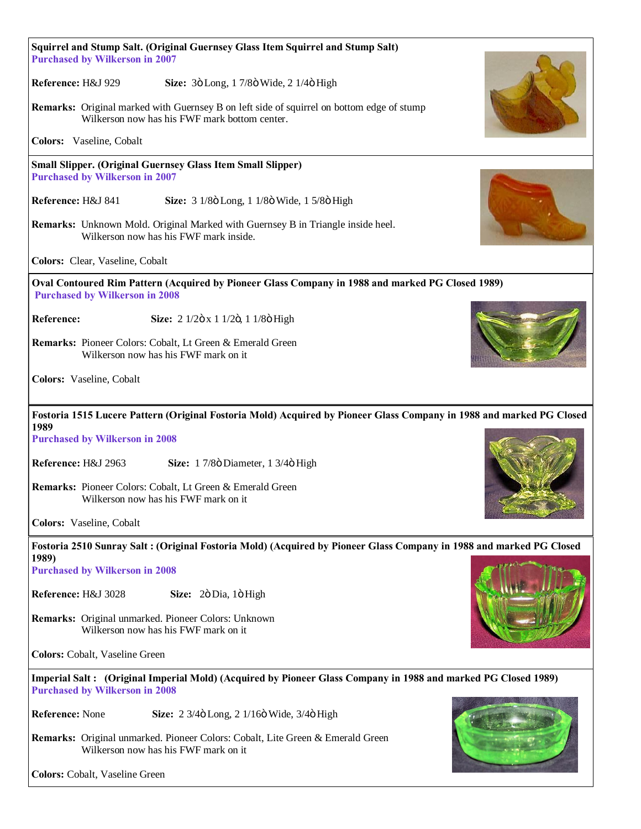| Squirrel and Stump Salt. (Original Guernsey Glass Item Squirrel and Stump Salt)<br><b>Purchased by Wilkerson in 2007</b>                               |  |
|--------------------------------------------------------------------------------------------------------------------------------------------------------|--|
| Reference: H&J 929<br>Size: 3ö Long, 1 7/8ö Wide, 2 1/4ö High                                                                                          |  |
| <b>Remarks:</b> Original marked with Guernsey B on left side of squirrel on bottom edge of stump<br>Wilkerson now has his FWF mark bottom center.      |  |
| Colors: Vaseline, Cobalt                                                                                                                               |  |
| <b>Small Slipper. (Original Guernsey Glass Item Small Slipper)</b><br><b>Purchased by Wilkerson in 2007</b>                                            |  |
| Reference: H&J 841<br>Size: 3 1/8ö Long, 1 1/8ö Wide, 1 5/8ö High                                                                                      |  |
| Remarks: Unknown Mold. Original Marked with Guernsey B in Triangle inside heel.<br>Wilkerson now has his FWF mark inside.                              |  |
| Colors: Clear, Vaseline, Cobalt                                                                                                                        |  |
| Oval Contoured Rim Pattern (Acquired by Pioneer Glass Company in 1988 and marked PG Closed 1989)<br><b>Purchased by Wilkerson in 2008</b>              |  |
| Reference:<br>Size: 2 1/2ö x 1 1/2ö, 1 1/8ö High                                                                                                       |  |
| Remarks: Pioneer Colors: Cobalt, Lt Green & Emerald Green<br>Wilkerson now has his FWF mark on it                                                      |  |
| Colors: Vaseline, Cobalt                                                                                                                               |  |
| Fostoria 1515 Lucere Pattern (Original Fostoria Mold) Acquired by Pioneer Glass Company in 1988 and marked PG Closed<br>1989                           |  |
| <b>Purchased by Wilkerson in 2008</b>                                                                                                                  |  |
| Reference: H&J 2963<br>Size: 1 7/8ö Diameter, 1 3/4ö High                                                                                              |  |
| Remarks: Pioneer Colors: Cobalt, Lt Green & Emerald Green<br>Wilkerson now has his FWF mark on it                                                      |  |
| Colors: Vaseline, Cobalt                                                                                                                               |  |
| Fostoria 2510 Sunray Salt: (Original Fostoria Mold) (Acquired by Pioneer Glass Company in 1988 and marked PG Closed<br>1989)                           |  |
| <b>Purchased by Wilkerson in 2008</b>                                                                                                                  |  |
| Reference: H&J 3028<br>Size: 2ö Dia, 1ö High                                                                                                           |  |
| Remarks: Original unmarked. Pioneer Colors: Unknown<br>Wilkerson now has his FWF mark on it                                                            |  |
| Colors: Cobalt, Vaseline Green                                                                                                                         |  |
| Imperial Salt: (Original Imperial Mold) (Acquired by Pioneer Glass Company in 1988 and marked PG Closed 1989)<br><b>Purchased by Wilkerson in 2008</b> |  |
| Reference: None<br>Size: 2 3/4ö Long, 2 1/16ö Wide, 3/4ö High                                                                                          |  |
| Remarks: Original unmarked. Pioneer Colors: Cobalt, Lite Green & Emerald Green<br>Wilkerson now has his FWF mark on it                                 |  |
| Colors: Cobalt, Vaseline Green                                                                                                                         |  |